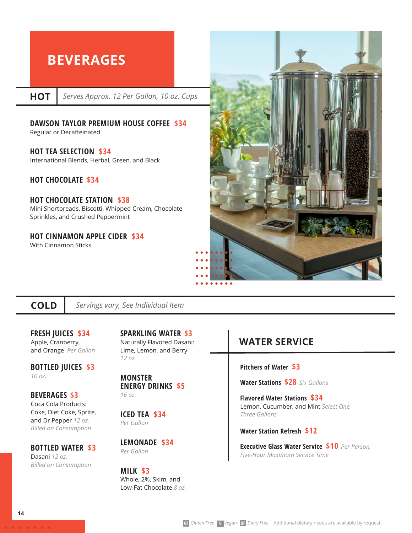# **BEVERAGES**

**HOT**

*Serves Approx. 12 Per Gallon, 10 oz. Cups*

### **DAWSON TAYLOR PREMIUM HOUSE COFFEE \$34**

Regular or Decaffeinated

### **HOT TEA SELECTION \$34**

International Blends, Herbal, Green, and Black

### **HOT CHOCOLATE \$34**

### **HOT CHOCOLATE STATION \$38** Mini Shortbreads, Biscotti, Whipped Cream, Chocolate

Sprinkles, and Crushed Peppermint

#### **HOT CINNAMON APPLE CIDER \$34** With Cinnamon Sticks



### **COLD**

*Servings vary, See Individual Item*

### **FRESH JUICES \$34** Apple, Cranberry, and Orange *Per Gallon*

**BOTTLED JUICES \$3** *10 oz.* 

### **BEVERAGES \$3**

Coca Cola Products: Coke, Diet Coke, Sprite, and Dr Pepper *12 oz. Billed on Consumption*

### **BOTTLED WATER \$3** Dasani *12 oz.*

*Billed on Consumption*

**SPARKLING WATER \$3** Naturally Flavored Dasani: Lime, Lemon, and Berry *12 oz.* 

#### **MONSTER ENERGY DRINKS \$5**  *16 oz.*

**ICED TEA \$34** *Per Gallon*

**LEMONADE \$34** *Per Gallon*

#### **MILK \$3** Whole, 2%, Skim, and Low-Fat Chocolate *8 oz.*

# **WATER SERVICE**

### **Pitchers of Water \$3**

**Water Stations****\$28** *Six Gallons* 

**Flavored Water Stations \$34** Lemon, Cucumber, and Mint *Select One, Three Gallons* 

### **Water Station Refresh \$12**

**Executive Glass Water Service \$10** *Per Person, Five-Hour Maximum Service Time*